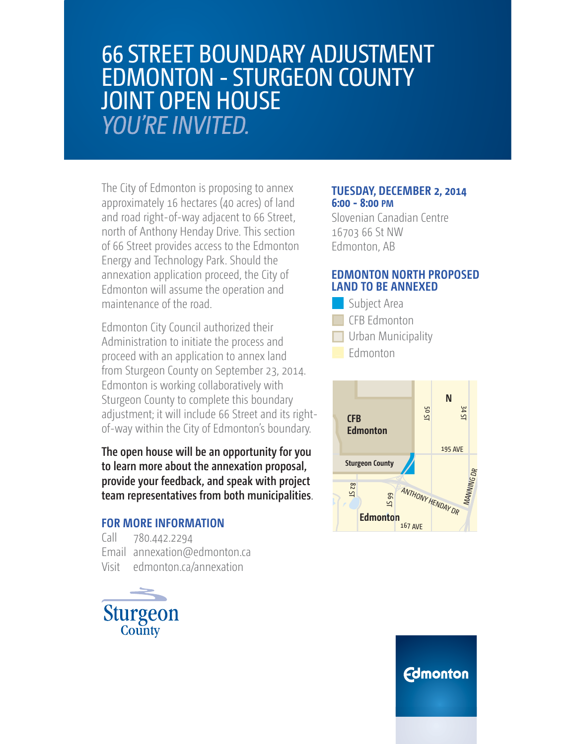## 66 STREET BOUNDARY ADJUSTMENT EDMONTON - STURGEON COUNTY JOINT OPEN HOUSE **YOU'RE INVITED.**

The City of Edmonton is proposing to annex approximately 16 hectares (40 acres) of land and road right-of-way adjacent to 66 Street, north of Anthony Henday Drive. This section of 66 Street provides access to the Edmonton Energy and Technology Park. Should the annexation application proceed, the City of Edmonton will assume the operation and maintenance of the road.

Edmonton City Council authorized their Administration to initiate the process and proceed with an application to annex land from Sturgeon County on September 23, 2014. Edmonton is working collaboratively with Sturgeon County to complete this boundary adjustment; it will include 66 Street and its rightof-way within the City of Edmonton's boundary.

**The open house will be an opportunity for you to learn more about the annexation proposal, provide your feedback, and speak with project team representatives from both municipalities**.

#### **FOR MORE INFORMATION**

Call 780.442.2294 Email annexation@edmonton.ca Visit edmonton.ca/annexation



#### **TUESDAY, DECEMBER 2, 2014 6:00 - 8:00 PM**

Slovenian Canadian Centre 16703 66 St NW Edmonton, AB

#### **EDMONTON NORTH PROPOSED LAND TO BE ANNEXED**

- **Urban Municipality** CFB Edmonton Subject Area
- $\Box$  Edmonton



### **Edmonton**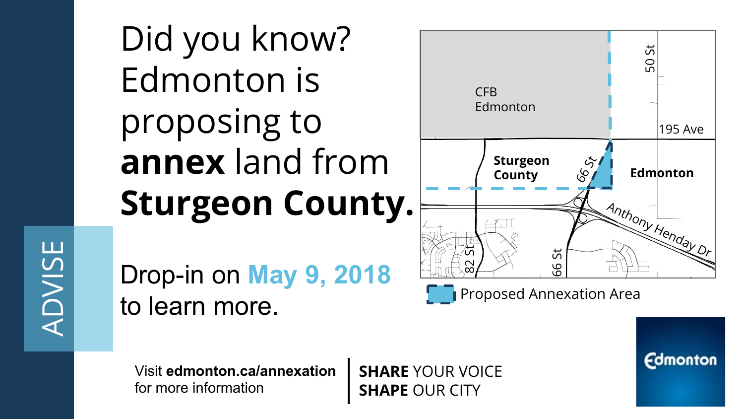Did you know? Edmonton is proposing to **annex** land from **Sturgeon County.**

Drop-in on **May 9, 2018** to learn more.

**Sturgeon County**  $\frac{1}{2}$  **Edmonton** CFB Edmonton 195 Ave  $\mathcal{S}$ 50 St Anthony Henday D 66 St 82 St

**Proposed Annexation Area** 

**Edmonton** 

Visit **edmonton.ca/annexation**  for more information

**SHARE** YOUR VOICE **SHAPE** OUR CITY